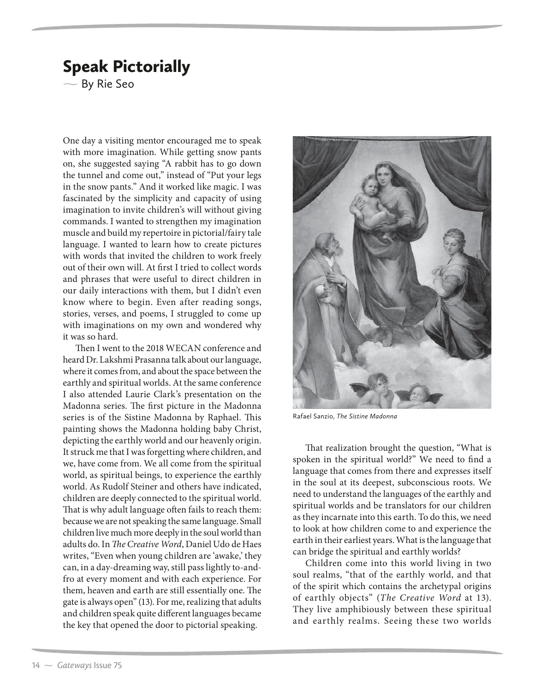## Speak Pictorially

 $\sim$  By Rie Seo

One day a visiting mentor encouraged me to speak with more imagination. While getting snow pants on, she suggested saying "A rabbit has to go down the tunnel and come out," instead of "Put your legs in the snow pants." And it worked like magic. I was fascinated by the simplicity and capacity of using imagination to invite children's will without giving commands. I wanted to strengthen my imagination muscle and build my repertoire in pictorial/fairy tale language. I wanted to learn how to create pictures with words that invited the children to work freely out of their own will. At first I tried to collect words and phrases that were useful to direct children in our daily interactions with them, but I didn't even know where to begin. Even after reading songs, stories, verses, and poems, I struggled to come up with imaginations on my own and wondered why it was so hard.

Then I went to the 2018 WECAN conference and heard Dr. Lakshmi Prasanna talk about our language, where it comes from, and about the space between the earthly and spiritual worlds. At the same conference I also attended Laurie Clark's presentation on the Madonna series. The first picture in the Madonna series is of the Sistine Madonna by Raphael. This painting shows the Madonna holding baby Christ, depicting the earthly world and our heavenly origin. It struck me that I was forgetting where children, and we, have come from. We all come from the spiritual world, as spiritual beings, to experience the earthly world. As Rudolf Steiner and others have indicated, children are deeply connected to the spiritual world. That is why adult language often fails to reach them: because we are not speaking the same language. Small children live much more deeply in the soul world than adults do. In The Creative Word, Daniel Udo de Haes writes, "Even when young children are 'awake,' they can, in a day-dreaming way, still pass lightly to-andfro at every moment and with each experience. For them, heaven and earth are still essentially one. The gate is always open" (13). For me, realizing that adults and children speak quite different languages became the key that opened the door to pictorial speaking.



Rafael Sanzio, *The Sistine Madonna*

That realization brought the question, "What is spoken in the spiritual world?" We need to find a language that comes from there and expresses itself in the soul at its deepest, subconscious roots. We need to understand the languages of the earthly and spiritual worlds and be translators for our children as they incarnate into this earth. To do this, we need to look at how children come to and experience the earth in their earliest years. What is the language that can bridge the spiritual and earthly worlds?

Children come into this world living in two soul realms, "that of the earthly world, and that of the spirit which contains the archetypal origins of earthly objects" (The Creative Word at 13). They live amphibiously between these spiritual and earthly realms. Seeing these two worlds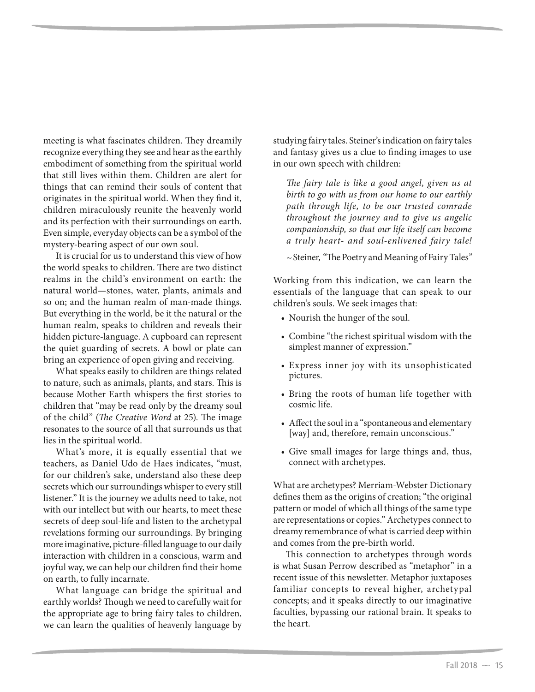meeting is what fascinates children. They dreamily recognize everything they see and hear as the earthly embodiment of something from the spiritual world that still lives within them. Children are alert for things that can remind their souls of content that originates in the spiritual world. When they find it, children miraculously reunite the heavenly world and its perfection with their surroundings on earth. Even simple, everyday objects can be a symbol of the mystery-bearing aspect of our own soul.

It is crucial for us to understand this view of how the world speaks to children. There are two distinct realms in the child's environment on earth: the natural world—stones, water, plants, animals and so on; and the human realm of man-made things. But everything in the world, be it the natural or the human realm, speaks to children and reveals their hidden picture-language. A cupboard can represent the quiet guarding of secrets. A bowl or plate can bring an experience of open giving and receiving.

What speaks easily to children are things related to nature, such as animals, plants, and stars. This is because Mother Earth whispers the first stories to children that "may be read only by the dreamy soul of the child" (The Creative Word at 25). The image resonates to the source of all that surrounds us that lies in the spiritual world.

What's more, it is equally essential that we teachers, as Daniel Udo de Haes indicates, "must, for our children's sake, understand also these deep secrets which our surroundings whisper to every still listener." It is the journey we adults need to take, not with our intellect but with our hearts, to meet these secrets of deep soul-life and listen to the archetypal revelations forming our surroundings. By bringing more imaginative, picture-filled language to our daily interaction with children in a conscious, warm and joyful way, we can help our children find their home on earth, to fully incarnate.

What language can bridge the spiritual and earthly worlds? Though we need to carefully wait for the appropriate age to bring fairy tales to children, we can learn the qualities of heavenly language by

studying fairy tales. Steiner's indication on fairy tales and fantasy gives us a clue to finding images to use in our own speech with children:

The fairy tale is like a good angel, given us at birth to go with us from our home to our earthly path through life, to be our trusted comrade throughout the journey and to give us angelic companionship, so that our life itself can become a truly heart- and soul-enlivened fairy tale!

~ Steiner, "The Poetry and Meaning of Fairy Tales"

Working from this indication, we can learn the essentials of the language that can speak to our children's souls. We seek images that:

- Nourish the hunger of the soul.
- Combine "the richest spiritual wisdom with the simplest manner of expression."
- Express inner joy with its unsophisticated pictures.
- Bring the roots of human life together with cosmic life.
- Affect the soul in a "spontaneous and elementary [way] and, therefore, remain unconscious."
- Give small images for large things and, thus, connect with archetypes.

What are archetypes? Merriam-Webster Dictionary defines them as the origins of creation; "the original pattern or model of which all things of the same type are representations or copies." Archetypes connect to dreamy remembrance of what is carried deep within and comes from the pre-birth world.

This connection to archetypes through words is what Susan Perrow described as "metaphor" in a recent issue of this newsletter. Metaphor juxtaposes familiar concepts to reveal higher, archetypal concepts; and it speaks directly to our imaginative faculties, bypassing our rational brain. It speaks to the heart.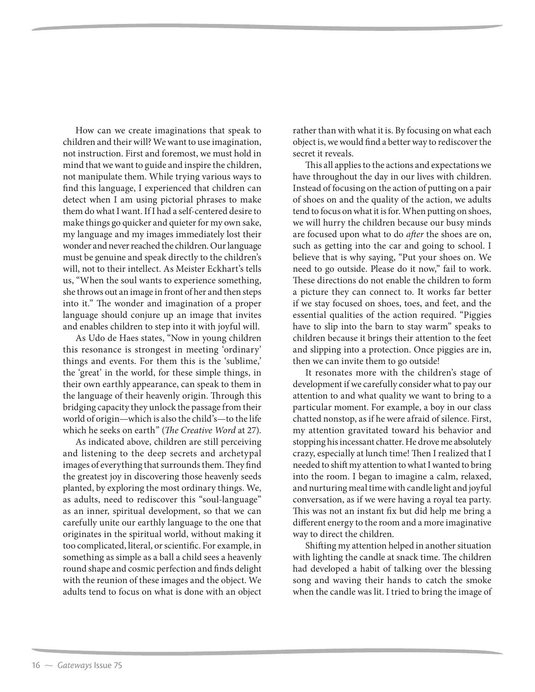How can we create imaginations that speak to children and their will? We want to use imagination, not instruction. First and foremost, we must hold in mind that we want to guide and inspire the children, not manipulate them. While trying various ways to find this language, I experienced that children can detect when I am using pictorial phrases to make them do what I want. If I had a self-centered desire to make things go quicker and quieter for my own sake, my language and my images immediately lost their wonder and never reached the children. Our language must be genuine and speak directly to the children's will, not to their intellect. As Meister Eckhart's tells us, "When the soul wants to experience something, she throws out an image in front of her and then steps into it." The wonder and imagination of a proper language should conjure up an image that invites and enables children to step into it with joyful will.

As Udo de Haes states, "Now in young children this resonance is strongest in meeting 'ordinary' things and events. For them this is the 'sublime,' the 'great' in the world, for these simple things, in their own earthly appearance, can speak to them in the language of their heavenly origin. Through this bridging capacity they unlock the passage from their world of origin—which is also the child's—to the life which he seeks on earth" (The Creative Word at 27).

As indicated above, children are still perceiving and listening to the deep secrets and archetypal images of everything that surrounds them. They find the greatest joy in discovering those heavenly seeds planted, by exploring the most ordinary things. We, as adults, need to rediscover this "soul-language" as an inner, spiritual development, so that we can carefully unite our earthly language to the one that originates in the spiritual world, without making it too complicated, literal, or scientific. For example, in something as simple as a ball a child sees a heavenly round shape and cosmic perfection and finds delight with the reunion of these images and the object. We adults tend to focus on what is done with an object

rather than with what it is. By focusing on what each object is, we would find a better way to rediscover the secret it reveals.

This all applies to the actions and expectations we have throughout the day in our lives with children. Instead of focusing on the action of putting on a pair of shoes on and the quality of the action, we adults tend to focus on what it is for. When putting on shoes, we will hurry the children because our busy minds are focused upon what to do after the shoes are on, such as getting into the car and going to school. I believe that is why saying, "Put your shoes on. We need to go outside. Please do it now," fail to work. These directions do not enable the children to form a picture they can connect to. It works far better if we stay focused on shoes, toes, and feet, and the essential qualities of the action required. "Piggies have to slip into the barn to stay warm" speaks to children because it brings their attention to the feet and slipping into a protection. Once piggies are in, then we can invite them to go outside!

It resonates more with the children's stage of development if we carefully consider what to pay our attention to and what quality we want to bring to a particular moment. For example, a boy in our class chatted nonstop, as if he were afraid of silence. First, my attention gravitated toward his behavior and stopping his incessant chatter. He drove me absolutely crazy, especially at lunch time! Then I realized that I needed to shift my attention to what I wanted to bring into the room. I began to imagine a calm, relaxed, and nurturing meal time with candle light and joyful conversation, as if we were having a royal tea party. This was not an instant fix but did help me bring a different energy to the room and a more imaginative way to direct the children.

Shifting my attention helped in another situation with lighting the candle at snack time. The children had developed a habit of talking over the blessing song and waving their hands to catch the smoke when the candle was lit. I tried to bring the image of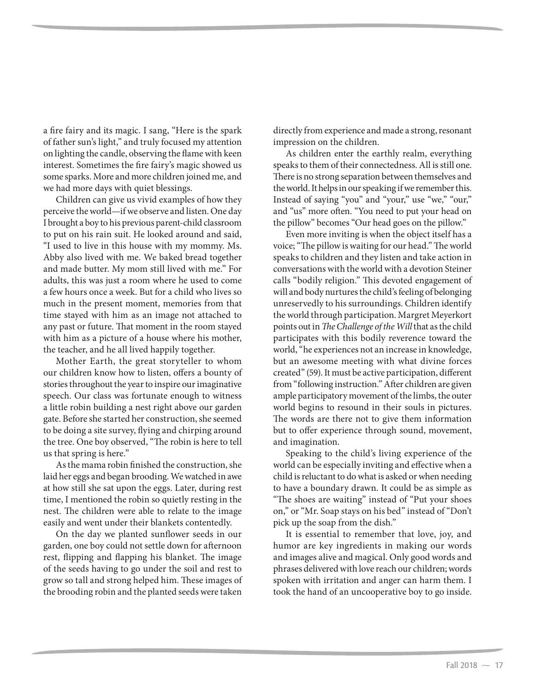a fire fairy and its magic. I sang, "Here is the spark of father sun's light," and truly focused my attention on lighting the candle, observing the flame with keen interest. Sometimes the fire fairy's magic showed us some sparks. More and more children joined me, and we had more days with quiet blessings.

Children can give us vivid examples of how they perceive the world—if we observe and listen. One day I brought a boy to his previous parent-child classroom to put on his rain suit. He looked around and said, "I used to live in this house with my mommy. Ms. Abby also lived with me. We baked bread together and made butter. My mom still lived with me." For adults, this was just a room where he used to come a few hours once a week. But for a child who lives so much in the present moment, memories from that time stayed with him as an image not attached to any past or future. That moment in the room stayed with him as a picture of a house where his mother, the teacher, and he all lived happily together.

Mother Earth, the great storyteller to whom our children know how to listen, offers a bounty of stories throughout the year to inspire our imaginative speech. Our class was fortunate enough to witness a little robin building a nest right above our garden gate. Before she started her construction, she seemed to be doing a site survey, flying and chirping around the tree. One boy observed, "The robin is here to tell us that spring is here."

As the mama robin finished the construction, she laid her eggs and began brooding. We watched in awe at how still she sat upon the eggs. Later, during rest time, I mentioned the robin so quietly resting in the nest. The children were able to relate to the image easily and went under their blankets contentedly.

On the day we planted sunflower seeds in our garden, one boy could not settle down for afternoon rest, flipping and flapping his blanket. The image of the seeds having to go under the soil and rest to grow so tall and strong helped him. These images of the brooding robin and the planted seeds were taken

directly from experience and made a strong, resonant impression on the children.

As children enter the earthly realm, everything speaks to them of their connectedness. All is still one. There is no strong separation between themselves and the world. It helps in our speaking if we remember this. Instead of saying "you" and "your," use "we," "our," and "us" more often. "You need to put your head on the pillow" becomes "Our head goes on the pillow."

Even more inviting is when the object itself has a voice; "The pillow is waiting for our head." The world speaks to children and they listen and take action in conversations with the world with a devotion Steiner calls "bodily religion." This devoted engagement of will and body nurtures the child's feeling of belonging unreservedly to his surroundings. Children identify the world through participation. Margret Meyerkort points out in The Challenge of the Will that as the child participates with this bodily reverence toward the world, "he experiences not an increase in knowledge, but an awesome meeting with what divine forces created" (59). It must be active participation, different from "following instruction." After children are given ample participatory movement of the limbs, the outer world begins to resound in their souls in pictures. The words are there not to give them information but to offer experience through sound, movement, and imagination.

Speaking to the child's living experience of the world can be especially inviting and effective when a child is reluctant to do what is asked or when needing to have a boundary drawn. It could be as simple as "The shoes are waiting" instead of "Put your shoes on," or "Mr. Soap stays on his bed" instead of "Don't pick up the soap from the dish."

It is essential to remember that love, joy, and humor are key ingredients in making our words and images alive and magical. Only good words and phrases delivered with love reach our children; words spoken with irritation and anger can harm them. I took the hand of an uncooperative boy to go inside.